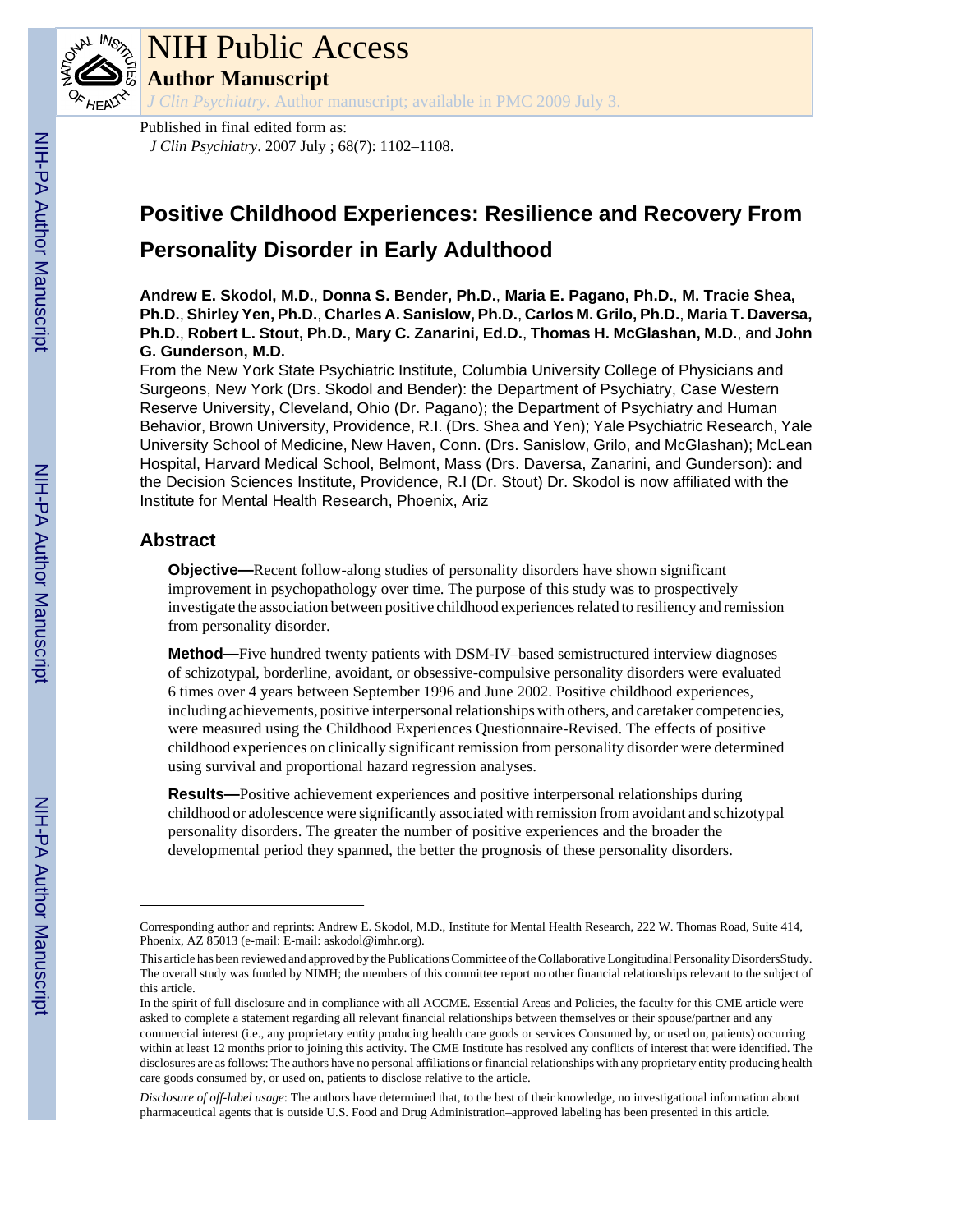

# NIH Public Access

**Author Manuscript**

*J Clin Psychiatry*. Author manuscript; available in PMC 2009 July 3.

Published in final edited form as: *J Clin Psychiatry*. 2007 July ; 68(7): 1102–1108.

# **Positive Childhood Experiences: Resilience and Recovery From Personality Disorder in Early Adulthood**

**Andrew E. Skodol, M.D.**, **Donna S. Bender, Ph.D.**, **Maria E. Pagano, Ph.D.**, **M. Tracie Shea, Ph.D.**, **Shirley Yen, Ph.D.**, **Charles A. Sanislow, Ph.D.**, **Carlos M. Grilo, Ph.D.**, **Maria T. Daversa, Ph.D.**, **Robert L. Stout, Ph.D.**, **Mary C. Zanarini, Ed.D.**, **Thomas H. McGlashan, M.D.**, and **John G. Gunderson, M.D.**

From the New York State Psychiatric Institute, Columbia University College of Physicians and Surgeons, New York (Drs. Skodol and Bender): the Department of Psychiatry, Case Western Reserve University, Cleveland, Ohio (Dr. Pagano); the Department of Psychiatry and Human Behavior, Brown University, Providence, R.I. (Drs. Shea and Yen); Yale Psychiatric Research, Yale University School of Medicine, New Haven, Conn. (Drs. Sanislow, Grilo, and McGlashan); McLean Hospital, Harvard Medical School, Belmont, Mass (Drs. Daversa, Zanarini, and Gunderson): and the Decision Sciences Institute, Providence, R.I (Dr. Stout) Dr. Skodol is now affiliated with the Institute for Mental Health Research, Phoenix, Ariz

# **Abstract**

**Objective—**Recent follow-along studies of personality disorders have shown significant improvement in psychopathology over time. The purpose of this study was to prospectively investigate the association between positive childhood experiences related to resiliency and remission from personality disorder.

**Method—**Five hundred twenty patients with DSM-IV–based semistructured interview diagnoses of schizotypal, borderline, avoidant, or obsessive-compulsive personality disorders were evaluated 6 times over 4 years between September 1996 and June 2002. Positive childhood experiences, including achievements, positive interpersonal relationships with others, and caretaker competencies, were measured using the Childhood Experiences Questionnaire-Revised. The effects of positive childhood experiences on clinically significant remission from personality disorder were determined using survival and proportional hazard regression analyses.

**Results—**Positive achievement experiences and positive interpersonal relationships during childhood or adolescence were significantly associated with remission from avoidant and schizotypal personality disorders. The greater the number of positive experiences and the broader the developmental period they spanned, the better the prognosis of these personality disorders.

Corresponding author and reprints: Andrew E. Skodol, M.D., Institute for Mental Health Research, 222 W. Thomas Road, Suite 414, Phoenix, AZ 85013 (e-mail: E-mail: askodol@imhr.org).

This article has been reviewed and approved by the Publications Committee of the Collaborative Longitudinal Personality DisordersStudy. The overall study was funded by NIMH; the members of this committee report no other financial relationships relevant to the subject of this article.

In the spirit of full disclosure and in compliance with all ACCME. Essential Areas and Policies, the faculty for this CME article were asked to complete a statement regarding all relevant financial relationships between themselves or their spouse/partner and any commercial interest (i.e., any proprietary entity producing health care goods or services Consumed by, or used on, patients) occurring within at least 12 months prior to joining this activity. The CME Institute has resolved any conflicts of interest that were identified. The disclosures are as follows: The authors have no personal affiliations or financial relationships with any proprietary entity producing health care goods consumed by, or used on, patients to disclose relative to the article.

*Disclosure of off-label usage*: The authors have determined that, to the best of their knowledge, no investigational information about pharmaceutical agents that is outside U.S. Food and Drug Administration–approved labeling has been presented in this article.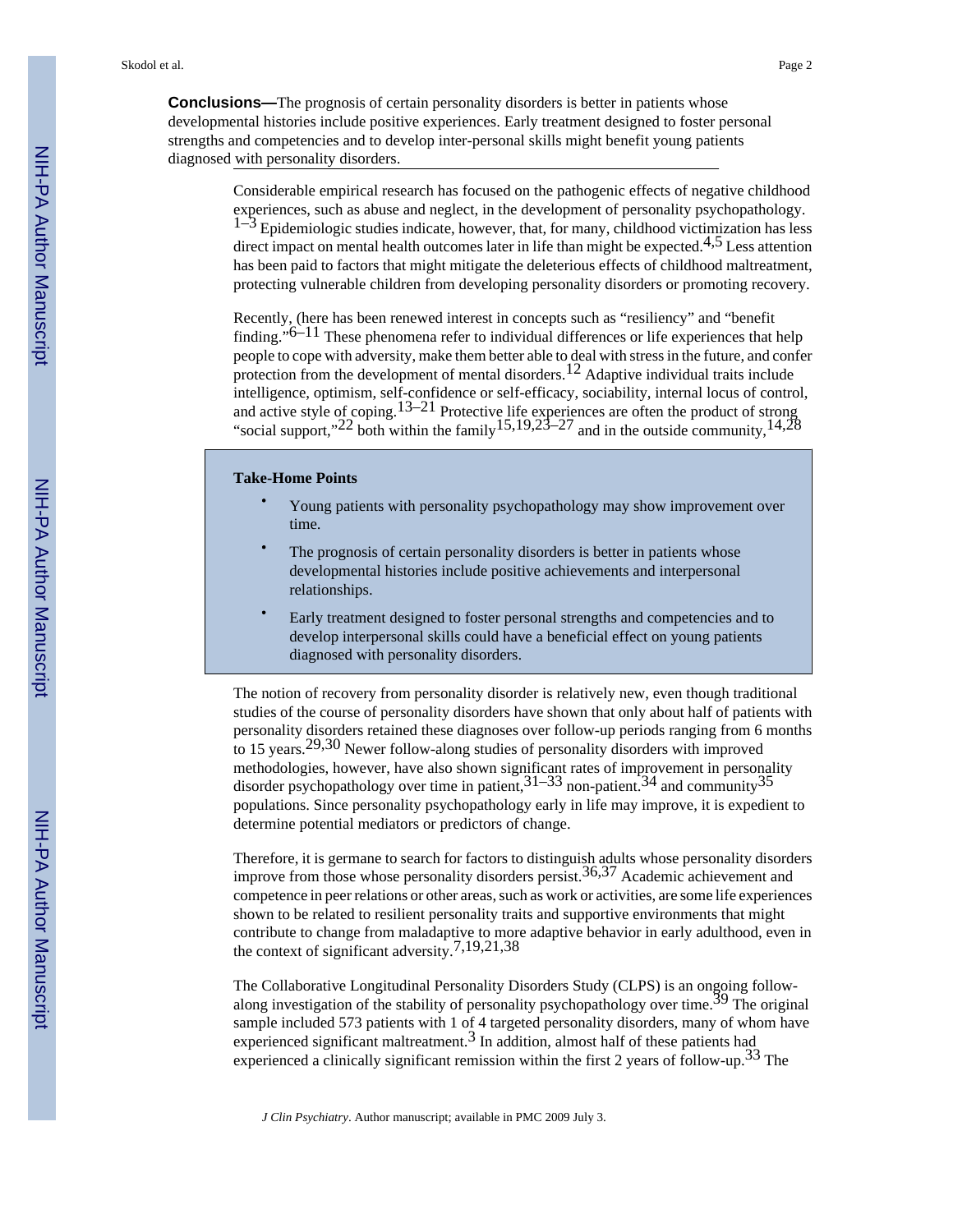**Conclusions—**The prognosis of certain personality disorders is better in patients whose developmental histories include positive experiences. Early treatment designed to foster personal strengths and competencies and to develop inter-personal skills might benefit young patients diagnosed with personality disorders.

> Considerable empirical research has focused on the pathogenic effects of negative childhood experiences, such as abuse and neglect, in the development of personality psychopathology.  $1-3$  Epidemiologic studies indicate, however, that, for many, childhood victimization has less direct impact on mental health outcomes later in life than might be expected.<sup>4,5</sup> Less attention has been paid to factors that might mitigate the deleterious effects of childhood maltreatment, protecting vulnerable children from developing personality disorders or promoting recovery.

> Recently, (here has been renewed interest in concepts such as "resiliency" and "benefit finding." $6-11$  These phenomena refer to individual differences or life experiences that help people to cope with adversity, make them better able to deal with stress in the future, and confer protection from the development of mental disorders.<sup>12</sup> Adaptive individual traits include intelligence, optimism, self-confidence or self-efficacy, sociability, internal locus of control, and active style of coping.<sup>13–21</sup> Protective life experiences are often the product of strong "social support,"<sup>22</sup> both within the family<sup>15,19,23–27</sup> and in the outside community,<sup>14,28</sup>

#### **Take-Home Points**

- Young patients with personality psychopathology may show improvement over time.
- The prognosis of certain personality disorders is better in patients whose developmental histories include positive achievements and interpersonal relationships.
- Early treatment designed to foster personal strengths and competencies and to develop interpersonal skills could have a beneficial effect on young patients diagnosed with personality disorders.

The notion of recovery from personality disorder is relatively new, even though traditional studies of the course of personality disorders have shown that only about half of patients with personality disorders retained these diagnoses over follow-up periods ranging from 6 months to 15 years.29,30 Newer follow-along studies of personality disorders with improved methodologies, however, have also shown significant rates of improvement in personality disorder psychopathology over time in patient,  $31-33$  non-patient.  $34$  and community  $35$ populations. Since personality psychopathology early in life may improve, it is expedient to determine potential mediators or predictors of change.

Therefore, it is germane to search for factors to distinguish adults whose personality disorders improve from those whose personality disorders persist.36,37 Academic achievement and competence in peer relations or other areas, such as work or activities, are some life experiences shown to be related to resilient personality traits and supportive environments that might contribute to change from maladaptive to more adaptive behavior in early adulthood, even in the context of significant adversity.7,19,21,38

The Collaborative Longitudinal Personality Disorders Study (CLPS) is an ongoing followalong investigation of the stability of personality psychopathology over time.<sup>39</sup> The original sample included 573 patients with 1 of 4 targeted personality disorders, many of whom have experienced significant maltreatment. $3$  In addition, almost half of these patients had experienced a clinically significant remission within the first 2 years of follow-up.<sup>33</sup> The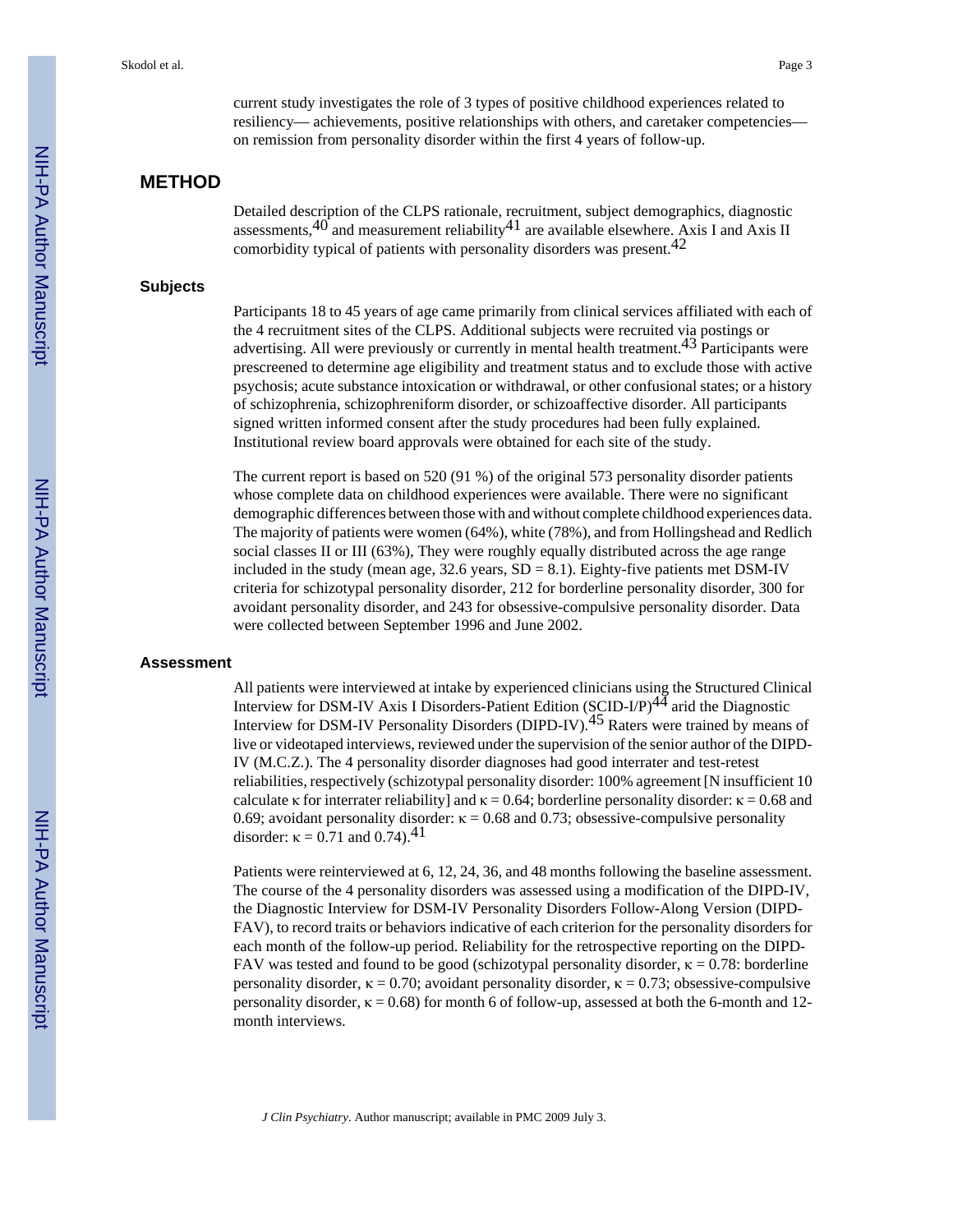current study investigates the role of 3 types of positive childhood experiences related to resiliency— achievements, positive relationships with others, and caretaker competencies on remission from personality disorder within the first 4 years of follow-up.

## **METHOD**

Detailed description of the CLPS rationale, recruitment, subject demographics, diagnostic assessments, $40^{\circ}$  and measurement reliability $41^{\circ}$  are available elsewhere. Axis I and Axis II comorbidity typical of patients with personality disorders was present.42

#### **Subjects**

Participants 18 to 45 years of age came primarily from clinical services affiliated with each of the 4 recruitment sites of the CLPS. Additional subjects were recruited via postings or advertising. All were previously or currently in mental health treatment.<sup>43</sup> Participants were prescreened to determine age eligibility and treatment status and to exclude those with active psychosis; acute substance intoxication or withdrawal, or other confusional states; or a history of schizophrenia, schizophreniform disorder, or schizoaffective disorder. All participants signed written informed consent after the study procedures had been fully explained. Institutional review board approvals were obtained for each site of the study.

The current report is based on 520 (91 %) of the original 573 personality disorder patients whose complete data on childhood experiences were available. There were no significant demographic differences between those with and without complete childhood experiences data. The majority of patients were women (64%), white (78%), and from Hollingshead and Redlich social classes II or III (63%), They were roughly equally distributed across the age range included in the study (mean age,  $32.6$  years,  $SD = 8.1$ ). Eighty-five patients met DSM-IV criteria for schizotypal personality disorder, 212 for borderline personality disorder, 300 for avoidant personality disorder, and 243 for obsessive-compulsive personality disorder. Data were collected between September 1996 and June 2002.

#### **Assessment**

All patients were interviewed at intake by experienced clinicians using the Structured Clinical Interview for DSM-IV Axis I Disorders-Patient Edition (SCID-I/P)<sup>44</sup> arid the Diagnostic Interview for DSM-IV Personality Disorders (DIPD-IV).45 Raters were trained by means of live or videotaped interviews, reviewed under the supervision of the senior author of the DIPD-IV (M.C.Z.). The 4 personality disorder diagnoses had good interrater and test-retest reliabilities, respectively (schizotypal personality disorder: 100% agreement [N insufficient 10 calculate κ for interrater reliability] and  $\kappa = 0.64$ ; borderline personality disorder:  $\kappa = 0.68$  and 0.69; avoidant personality disorder:  $\kappa = 0.68$  and 0.73; obsessive-compulsive personality disorder:  $\kappa = 0.71$  and 0.74).<sup>41</sup>

Patients were reinterviewed at 6, 12, 24, 36, and 48 months following the baseline assessment. The course of the 4 personality disorders was assessed using a modification of the DIPD-IV, the Diagnostic Interview for DSM-IV Personality Disorders Follow-Along Version (DIPD-FAV), to record traits or behaviors indicative of each criterion for the personality disorders for each month of the follow-up period. Reliability for the retrospective reporting on the DIPD-FAV was tested and found to be good (schizotypal personality disorder,  $\kappa = 0.78$ : borderline personality disorder,  $\kappa = 0.70$ ; avoidant personality disorder,  $\kappa = 0.73$ ; obsessive-compulsive personality disorder,  $\kappa = 0.68$ ) for month 6 of follow-up, assessed at both the 6-month and 12month interviews.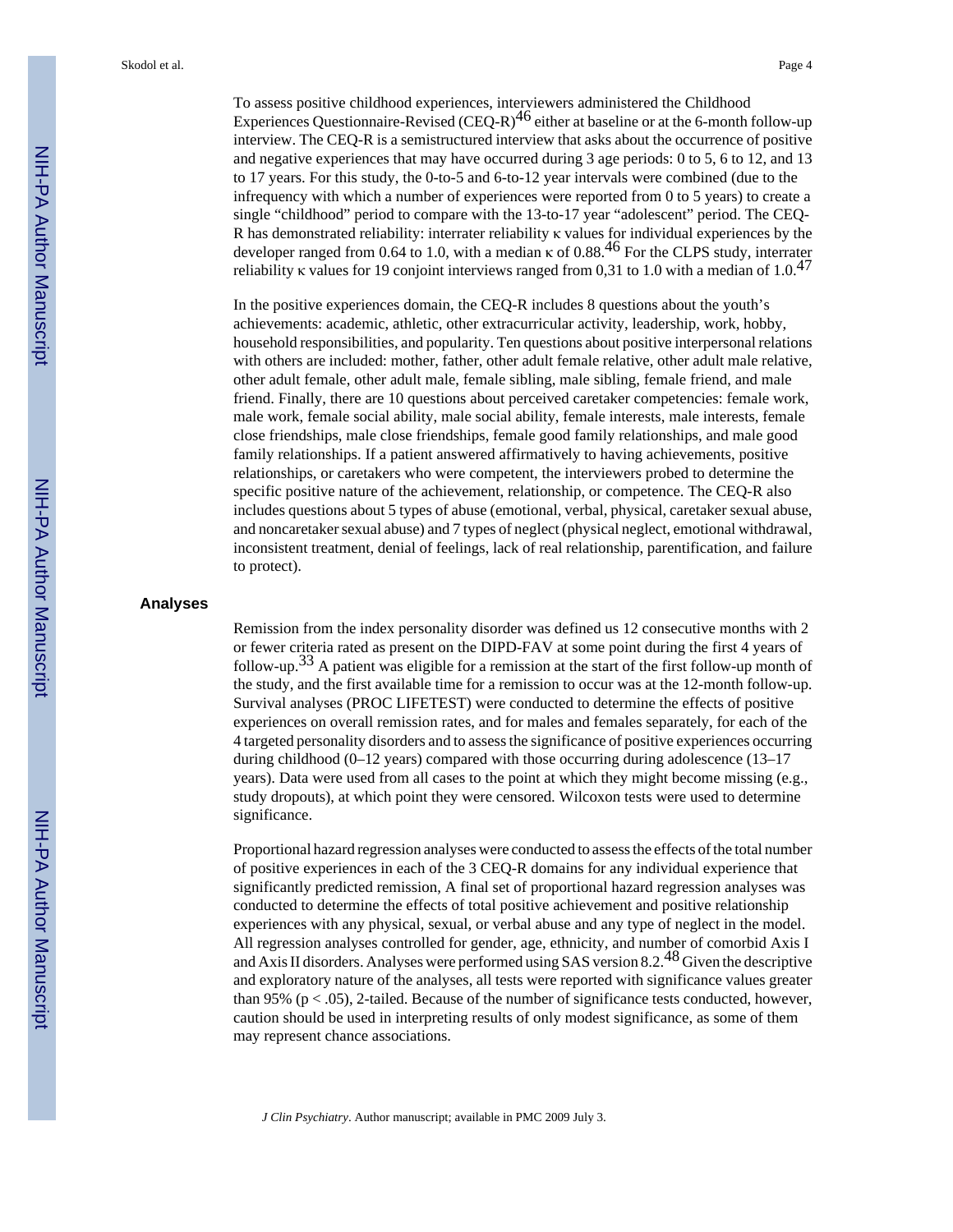To assess positive childhood experiences, interviewers administered the Childhood Experiences Questionnaire-Revised (CEQ-R) $^{46}$  either at baseline or at the 6-month follow-up interview. The CEQ-R is a semistructured interview that asks about the occurrence of positive and negative experiences that may have occurred during 3 age periods: 0 to 5, 6 to 12, and 13 to 17 years. For this study, the 0-to-5 and 6-to-12 year intervals were combined (due to the infrequency with which a number of experiences were reported from 0 to 5 years) to create a single "childhood" period to compare with the 13-to-17 year "adolescent" period. The CEQ-R has demonstrated reliability: interrater reliability κ values for individual experiences by the developer ranged from 0.64 to 1.0, with a median  $\kappa$  of 0.88.<sup>46</sup> For the CLPS study, interrater reliability κ values for 19 conjoint interviews ranged from 0.31 to 1.0 with a median of  $1.0^{47}$ 

In the positive experiences domain, the CEQ-R includes 8 questions about the youth's achievements: academic, athletic, other extracurricular activity, leadership, work, hobby, household responsibilities, and popularity. Ten questions about positive interpersonal relations with others are included: mother, father, other adult female relative, other adult male relative, other adult female, other adult male, female sibling, male sibling, female friend, and male friend. Finally, there are 10 questions about perceived caretaker competencies: female work, male work, female social ability, male social ability, female interests, male interests, female close friendships, male close friendships, female good family relationships, and male good family relationships. If a patient answered affirmatively to having achievements, positive relationships, or caretakers who were competent, the interviewers probed to determine the specific positive nature of the achievement, relationship, or competence. The CEQ-R also includes questions about 5 types of abuse (emotional, verbal, physical, caretaker sexual abuse, and noncaretaker sexual abuse) and 7 types of neglect (physical neglect, emotional withdrawal, inconsistent treatment, denial of feelings, lack of real relationship, parentification, and failure to protect).

#### **Analyses**

Remission from the index personality disorder was defined us 12 consecutive months with 2 or fewer criteria rated as present on the DIPD-FAV at some point during the first 4 years of follow-up.<sup>33</sup> A patient was eligible for a remission at the start of the first follow-up month of the study, and the first available time for a remission to occur was at the 12-month follow-up. Survival analyses (PROC LIFETEST) were conducted to determine the effects of positive experiences on overall remission rates, and for males and females separately, for each of the 4 targeted personality disorders and to assess the significance of positive experiences occurring during childhood  $(0-12 \text{ years})$  compared with those occurring during adolescence  $(13-17)$ years). Data were used from all cases to the point at which they might become missing (e.g., study dropouts), at which point they were censored. Wilcoxon tests were used to determine significance.

Proportional hazard regression analyses were conducted to assess the effects of the total number of positive experiences in each of the 3 CEQ-R domains for any individual experience that significantly predicted remission, A final set of proportional hazard regression analyses was conducted to determine the effects of total positive achievement and positive relationship experiences with any physical, sexual, or verbal abuse and any type of neglect in the model. All regression analyses controlled for gender, age, ethnicity, and number of comorbid Axis I and Axis II disorders. Analyses were performed using SAS version 8.2.48 Given the descriptive and exploratory nature of the analyses, all tests were reported with significance values greater than 95% ( $p < .05$ ), 2-tailed. Because of the number of significance tests conducted, however, caution should be used in interpreting results of only modest significance, as some of them may represent chance associations.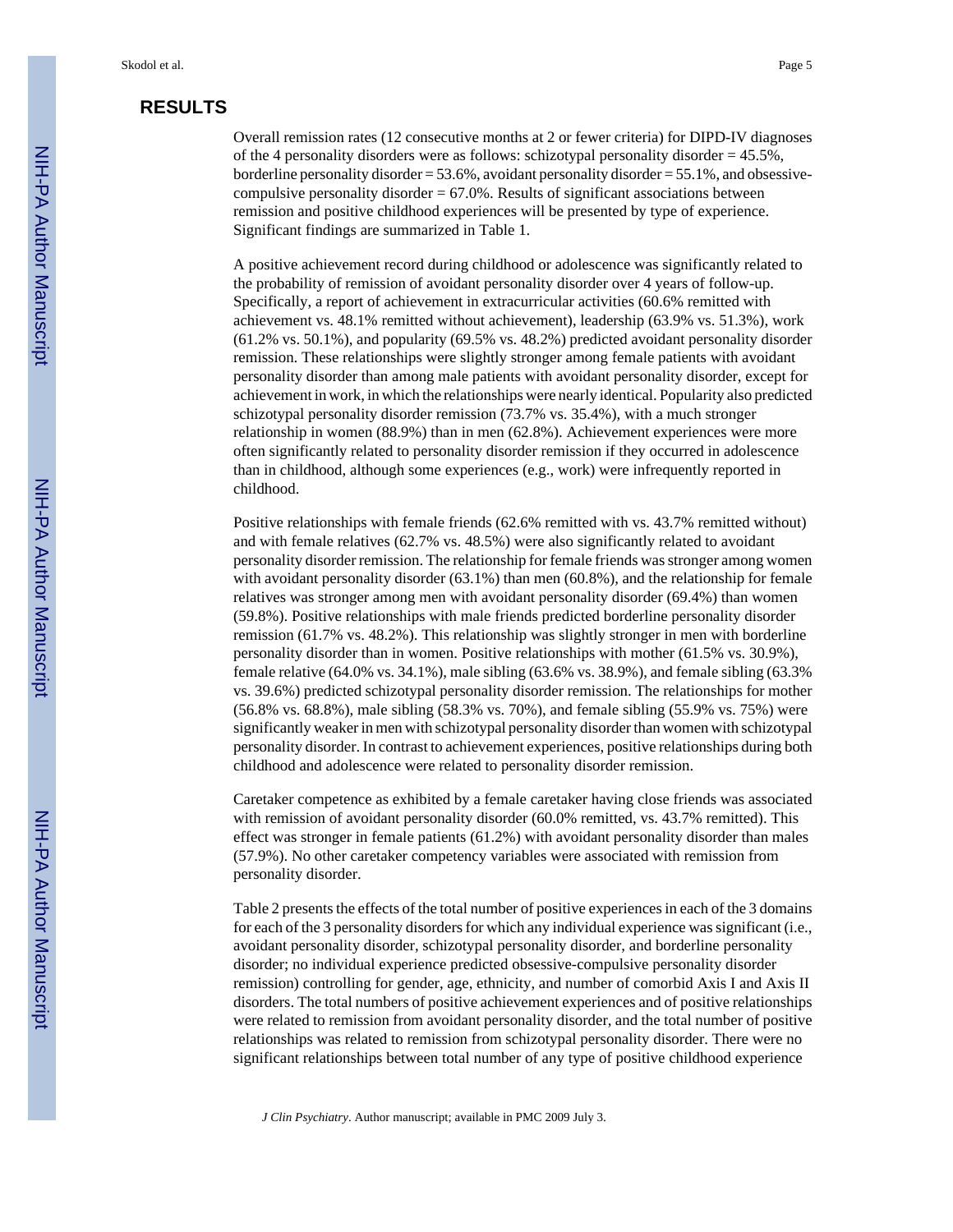## **RESULTS**

Overall remission rates (12 consecutive months at 2 or fewer criteria) for DIPD-IV diagnoses of the 4 personality disorders were as follows: schizotypal personality disorder  $= 45.5\%$ , borderline personality disorder  $= 53.6\%$ , avoidant personality disorder  $= 55.1\%$ , and obsessivecompulsive personality disorder  $= 67.0\%$ . Results of significant associations between remission and positive childhood experiences will be presented by type of experience. Significant findings are summarized in Table 1.

A positive achievement record during childhood or adolescence was significantly related to the probability of remission of avoidant personality disorder over 4 years of follow-up. Specifically, a report of achievement in extracurricular activities (60.6% remitted with achievement vs. 48.1% remitted without achievement), leadership (63.9% vs. 51.3%), work (61.2% vs. 50.1%), and popularity (69.5% vs. 48.2%) predicted avoidant personality disorder remission. These relationships were slightly stronger among female patients with avoidant personality disorder than among male patients with avoidant personality disorder, except for achievement in work, in which the relationships were nearly identical. Popularity also predicted schizotypal personality disorder remission (73.7% vs. 35.4%), with a much stronger relationship in women (88.9%) than in men (62.8%). Achievement experiences were more often significantly related to personality disorder remission if they occurred in adolescence than in childhood, although some experiences (e.g., work) were infrequently reported in childhood.

Positive relationships with female friends (62.6% remitted with vs. 43.7% remitted without) and with female relatives (62.7% vs. 48.5%) were also significantly related to avoidant personality disorder remission. The relationship for female friends was stronger among women with avoidant personality disorder (63.1%) than men (60.8%), and the relationship for female relatives was stronger among men with avoidant personality disorder (69.4%) than women (59.8%). Positive relationships with male friends predicted borderline personality disorder remission (61.7% vs. 48.2%). This relationship was slightly stronger in men with borderline personality disorder than in women. Positive relationships with mother (61.5% vs. 30.9%), female relative (64.0% vs. 34.1%), male sibling (63.6% vs. 38.9%), and female sibling (63.3% vs. 39.6%) predicted schizotypal personality disorder remission. The relationships for mother (56.8% vs. 68.8%), male sibling (58.3% vs. 70%), and female sibling (55.9% vs. 75%) were significantly weaker in men with schizotypal personality disorder than women with schizotypal personality disorder. In contrast to achievement experiences, positive relationships during both childhood and adolescence were related to personality disorder remission.

Caretaker competence as exhibited by a female caretaker having close friends was associated with remission of avoidant personality disorder (60.0% remitted, vs. 43.7% remitted). This effect was stronger in female patients (61.2%) with avoidant personality disorder than males (57.9%). No other caretaker competency variables were associated with remission from personality disorder.

Table 2 presents the effects of the total number of positive experiences in each of the 3 domains for each of the 3 personality disorders for which any individual experience was significant (i.e., avoidant personality disorder, schizotypal personality disorder, and borderline personality disorder; no individual experience predicted obsessive-compulsive personality disorder remission) controlling for gender, age, ethnicity, and number of comorbid Axis I and Axis II disorders. The total numbers of positive achievement experiences and of positive relationships were related to remission from avoidant personality disorder, and the total number of positive relationships was related to remission from schizotypal personality disorder. There were no significant relationships between total number of any type of positive childhood experience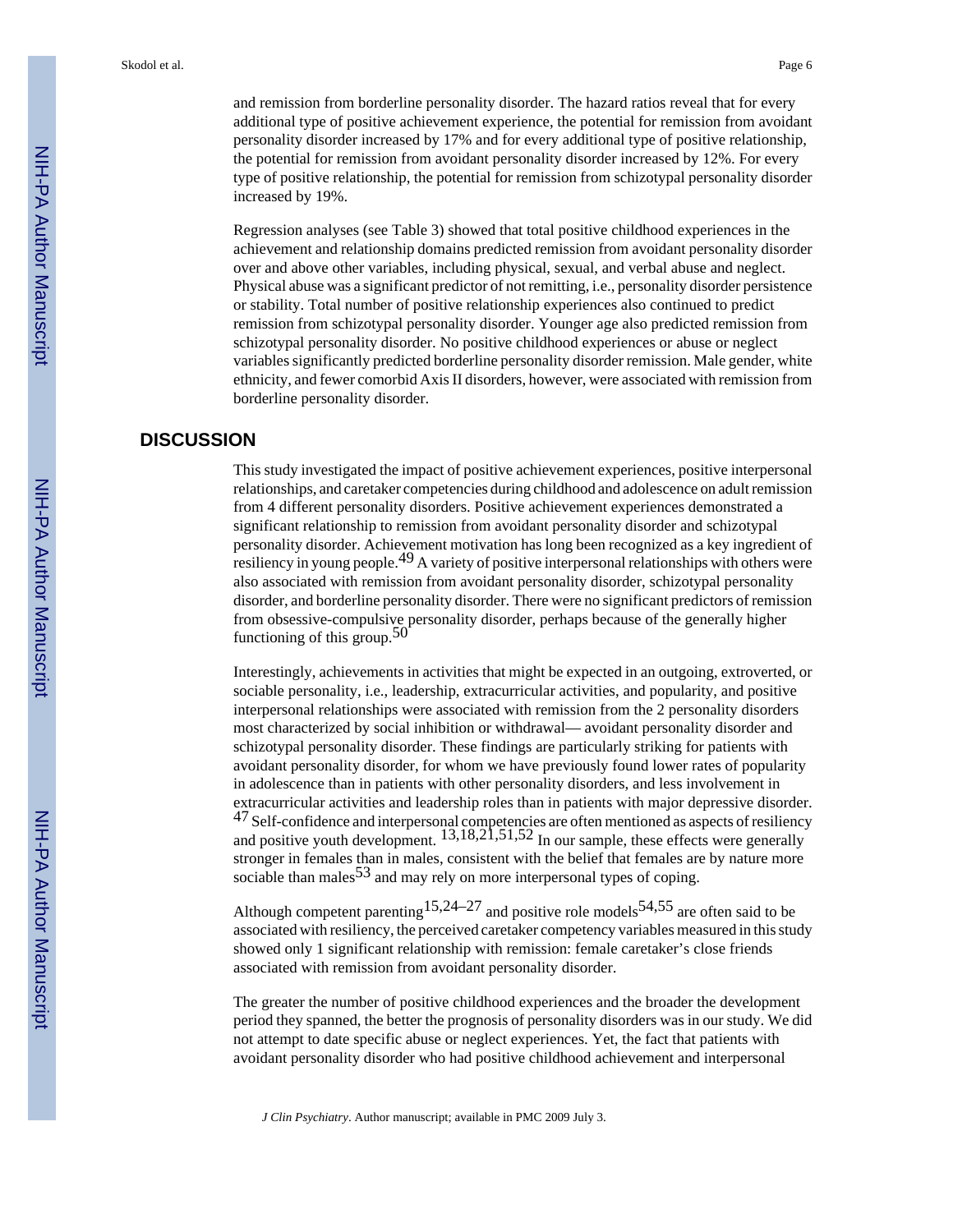and remission from borderline personality disorder. The hazard ratios reveal that for every additional type of positive achievement experience, the potential for remission from avoidant personality disorder increased by 17% and for every additional type of positive relationship, the potential for remission from avoidant personality disorder increased by 12%. For every type of positive relationship, the potential for remission from schizotypal personality disorder increased by 19%.

Regression analyses (see Table 3) showed that total positive childhood experiences in the achievement and relationship domains predicted remission from avoidant personality disorder over and above other variables, including physical, sexual, and verbal abuse and neglect. Physical abuse was a significant predictor of not remitting, i.e., personality disorder persistence or stability. Total number of positive relationship experiences also continued to predict remission from schizotypal personality disorder. Younger age also predicted remission from schizotypal personality disorder. No positive childhood experiences or abuse or neglect variables significantly predicted borderline personality disorder remission. Male gender, white ethnicity, and fewer comorbid Axis II disorders, however, were associated with remission from borderline personality disorder.

### **DISCUSSION**

This study investigated the impact of positive achievement experiences, positive interpersonal relationships, and caretaker competencies during childhood and adolescence on adult remission from 4 different personality disorders. Positive achievement experiences demonstrated a significant relationship to remission from avoidant personality disorder and schizotypal personality disorder. Achievement motivation has long been recognized as a key ingredient of resiliency in young people.<sup>49</sup> A variety of positive interpersonal relationships with others were also associated with remission from avoidant personality disorder, schizotypal personality disorder, and borderline personality disorder. There were no significant predictors of remission from obsessive-compulsive personality disorder, perhaps because of the generally higher functioning of this group.  $50$ 

Interestingly, achievements in activities that might be expected in an outgoing, extroverted, or sociable personality, i.e., leadership, extracurricular activities, and popularity, and positive interpersonal relationships were associated with remission from the 2 personality disorders most characterized by social inhibition or withdrawal— avoidant personality disorder and schizotypal personality disorder. These findings are particularly striking for patients with avoidant personality disorder, for whom we have previously found lower rates of popularity in adolescence than in patients with other personality disorders, and less involvement in extracurricular activities and leadership roles than in patients with major depressive disorder.  $^{47}$  Self-confidence and interpersonal competencies are often mentioned as aspects of resiliency and positive youth development.  $13,18,21,51,52$  In our sample, these effects were generally stronger in females than in males, consistent with the belief that females are by nature more sociable than males<sup>53</sup> and may rely on more interpersonal types of coping.

Although competent parenting  $15,24-27$  and positive role models  $54,55$  are often said to be associated with resiliency, the perceived caretaker competency variables measured in this study showed only 1 significant relationship with remission: female caretaker's close friends associated with remission from avoidant personality disorder.

The greater the number of positive childhood experiences and the broader the development period they spanned, the better the prognosis of personality disorders was in our study. We did not attempt to date specific abuse or neglect experiences. Yet, the fact that patients with avoidant personality disorder who had positive childhood achievement and interpersonal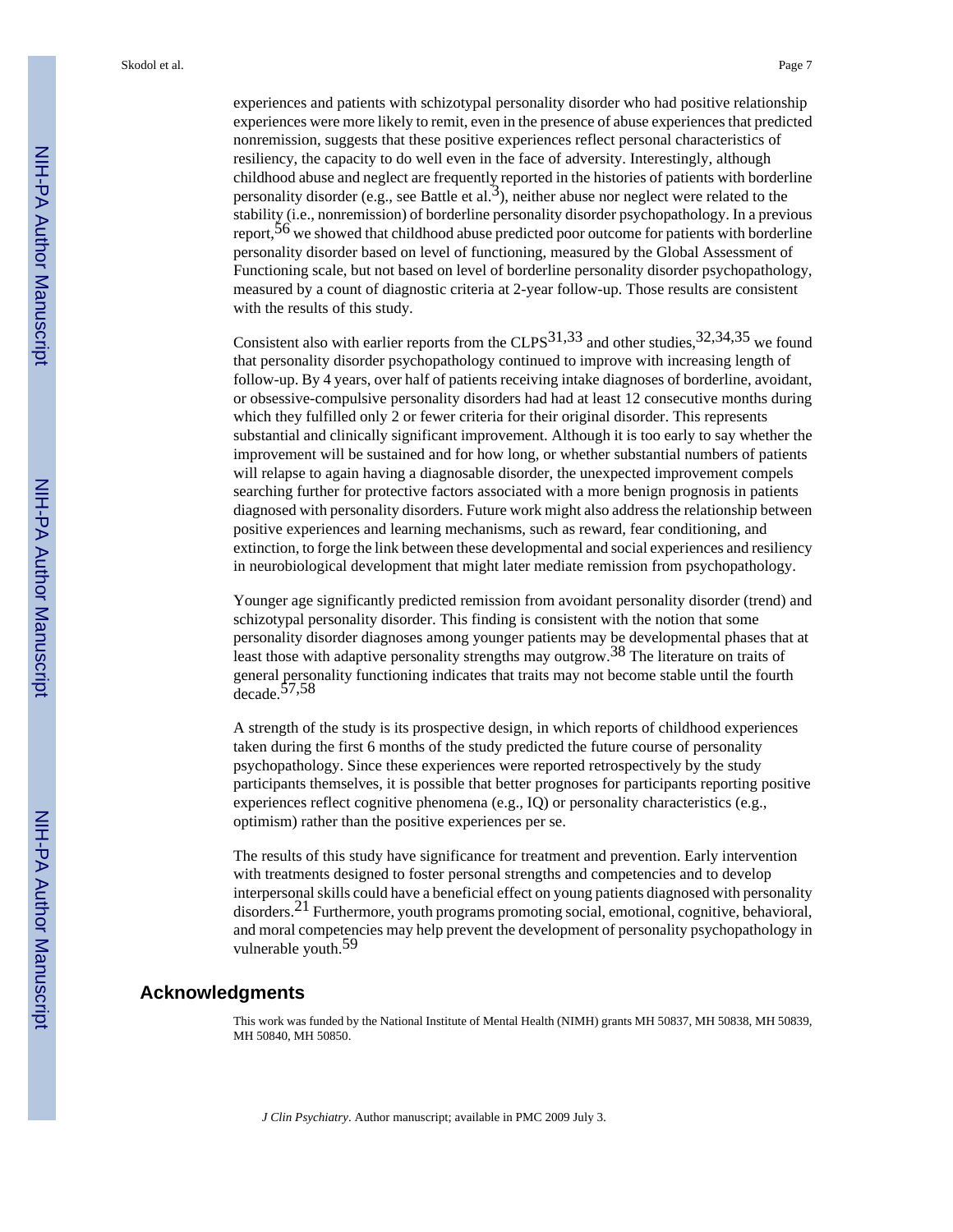experiences and patients with schizotypal personality disorder who had positive relationship experiences were more likely to remit, even in the presence of abuse experiences that predicted nonremission, suggests that these positive experiences reflect personal characteristics of resiliency, the capacity to do well even in the face of adversity. Interestingly, although childhood abuse and neglect are frequently reported in the histories of patients with borderline personality disorder (e.g., see Battle et al.<sup>3</sup>), neither abuse nor neglect were related to the stability (i.e., nonremission) of borderline personality disorder psychopathology. In a previous report,  $56$  we showed that childhood abuse predicted poor outcome for patients with borderline personality disorder based on level of functioning, measured by the Global Assessment of Functioning scale, but not based on level of borderline personality disorder psychopathology, measured by a count of diagnostic criteria at 2-year follow-up. Those results are consistent with the results of this study.

Consistent also with earlier reports from the CLPS<sup>31,33</sup> and other studies,  $32,34,35$  we found that personality disorder psychopathology continued to improve with increasing length of follow-up. By 4 years, over half of patients receiving intake diagnoses of borderline, avoidant, or obsessive-compulsive personality disorders had had at least 12 consecutive months during which they fulfilled only 2 or fewer criteria for their original disorder. This represents substantial and clinically significant improvement. Although it is too early to say whether the improvement will be sustained and for how long, or whether substantial numbers of patients will relapse to again having a diagnosable disorder, the unexpected improvement compels searching further for protective factors associated with a more benign prognosis in patients diagnosed with personality disorders. Future work might also address the relationship between positive experiences and learning mechanisms, such as reward, fear conditioning, and extinction, to forge the link between these developmental and social experiences and resiliency in neurobiological development that might later mediate remission from psychopathology.

Younger age significantly predicted remission from avoidant personality disorder (trend) and schizotypal personality disorder. This finding is consistent with the notion that some personality disorder diagnoses among younger patients may be developmental phases that at least those with adaptive personality strengths may outgrow.<sup>38</sup> The literature on traits of general personality functioning indicates that traits may not become stable until the fourth decade.57,58

A strength of the study is its prospective design, in which reports of childhood experiences taken during the first 6 months of the study predicted the future course of personality psychopathology. Since these experiences were reported retrospectively by the study participants themselves, it is possible that better prognoses for participants reporting positive experiences reflect cognitive phenomena (e.g., IQ) or personality characteristics (e.g., optimism) rather than the positive experiences per se.

The results of this study have significance for treatment and prevention. Early intervention with treatments designed to foster personal strengths and competencies and to develop interpersonal skills could have a beneficial effect on young patients diagnosed with personality disorders.<sup>21</sup> Furthermore, youth programs promoting social, emotional, cognitive, behavioral, and moral competencies may help prevent the development of personality psychopathology in vulnerable youth.<sup>59</sup>

## **Acknowledgments**

This work was funded by the National Institute of Mental Health (NIMH) grants MH 50837, MH 50838, MH 50839, MH 50840, MH 50850.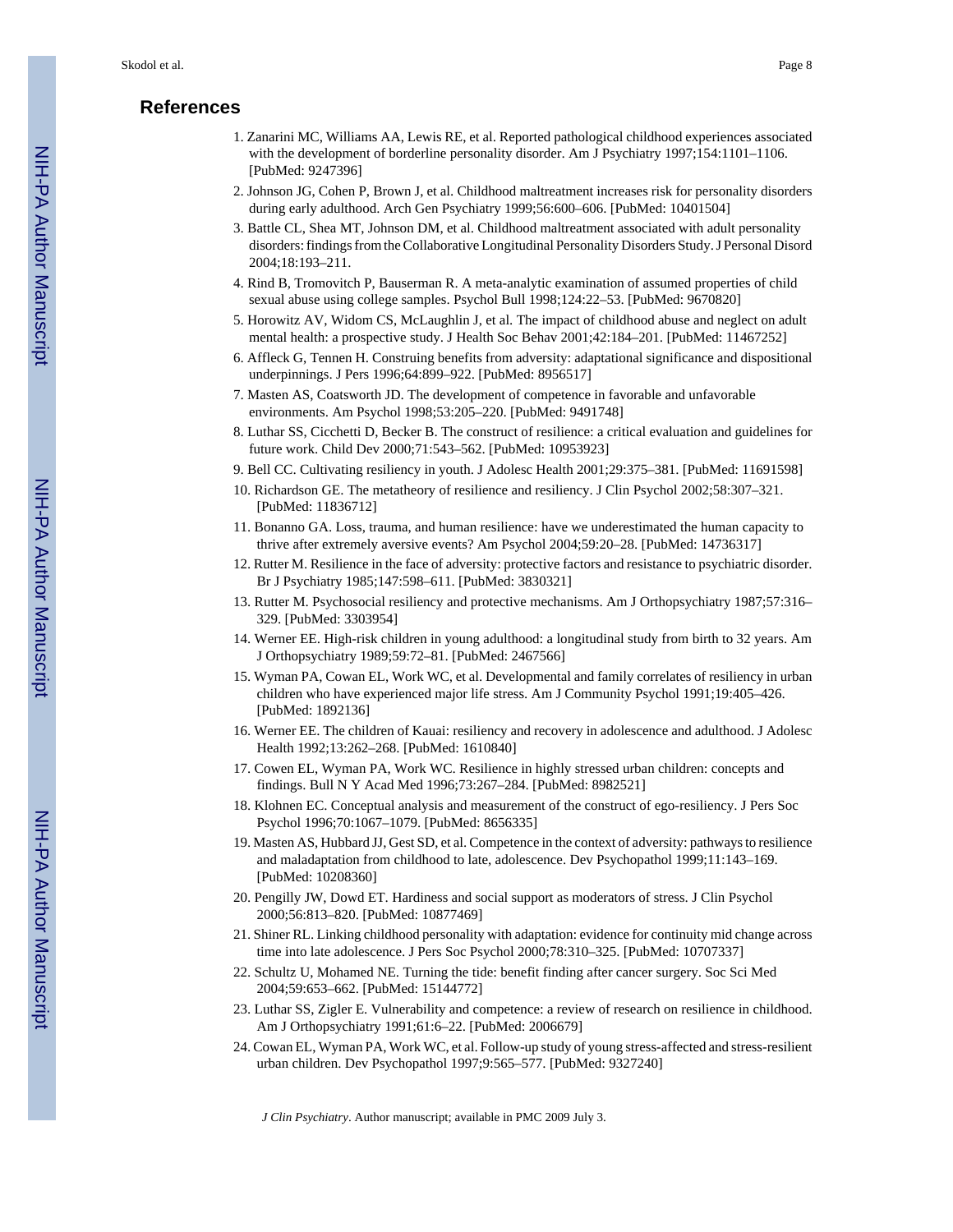## **References**

- 1. Zanarini MC, Williams AA, Lewis RE, et al. Reported pathological childhood experiences associated with the development of borderline personality disorder. Am J Psychiatry 1997;154:1101–1106. [PubMed: 9247396]
- 2. Johnson JG, Cohen P, Brown J, et al. Childhood maltreatment increases risk for personality disorders during early adulthood. Arch Gen Psychiatry 1999;56:600–606. [PubMed: 10401504]
- 3. Battle CL, Shea MT, Johnson DM, et al. Childhood maltreatment associated with adult personality disorders: findings from the Collaborative Longitudinal Personality Disorders Study. J Personal Disord 2004;18:193–211.
- 4. Rind B, Tromovitch P, Bauserman R. A meta-analytic examination of assumed properties of child sexual abuse using college samples. Psychol Bull 1998;124:22–53. [PubMed: 9670820]
- 5. Horowitz AV, Widom CS, McLaughlin J, et al. The impact of childhood abuse and neglect on adult mental health: a prospective study. J Health Soc Behav 2001;42:184–201. [PubMed: 11467252]
- 6. Affleck G, Tennen H. Construing benefits from adversity: adaptational significance and dispositional underpinnings. J Pers 1996;64:899–922. [PubMed: 8956517]
- 7. Masten AS, Coatsworth JD. The development of competence in favorable and unfavorable environments. Am Psychol 1998;53:205–220. [PubMed: 9491748]
- 8. Luthar SS, Cicchetti D, Becker B. The construct of resilience: a critical evaluation and guidelines for future work. Child Dev 2000;71:543–562. [PubMed: 10953923]
- 9. Bell CC. Cultivating resiliency in youth. J Adolesc Health 2001;29:375–381. [PubMed: 11691598]
- 10. Richardson GE. The metatheory of resilience and resiliency. J Clin Psychol 2002;58:307–321. [PubMed: 11836712]
- 11. Bonanno GA. Loss, trauma, and human resilience: have we underestimated the human capacity to thrive after extremely aversive events? Am Psychol 2004;59:20–28. [PubMed: 14736317]
- 12. Rutter M. Resilience in the face of adversity: protective factors and resistance to psychiatric disorder. Br J Psychiatry 1985;147:598–611. [PubMed: 3830321]
- 13. Rutter M. Psychosocial resiliency and protective mechanisms. Am J Orthopsychiatry 1987;57:316– 329. [PubMed: 3303954]
- 14. Werner EE. High-risk children in young adulthood: a longitudinal study from birth to 32 years. Am J Orthopsychiatry 1989;59:72–81. [PubMed: 2467566]
- 15. Wyman PA, Cowan EL, Work WC, et al. Developmental and family correlates of resiliency in urban children who have experienced major life stress. Am J Community Psychol 1991;19:405–426. [PubMed: 1892136]
- 16. Werner EE. The children of Kauai: resiliency and recovery in adolescence and adulthood. J Adolesc Health 1992;13:262–268. [PubMed: 1610840]
- 17. Cowen EL, Wyman PA, Work WC. Resilience in highly stressed urban children: concepts and findings. Bull N Y Acad Med 1996;73:267–284. [PubMed: 8982521]
- 18. Klohnen EC. Conceptual analysis and measurement of the construct of ego-resiliency. J Pers Soc Psychol 1996;70:1067–1079. [PubMed: 8656335]
- 19. Masten AS, Hubbard JJ, Gest SD, et al. Competence in the context of adversity: pathways to resilience and maladaptation from childhood to late, adolescence. Dev Psychopathol 1999;11:143–169. [PubMed: 10208360]
- 20. Pengilly JW, Dowd ET. Hardiness and social support as moderators of stress. J Clin Psychol 2000;56:813–820. [PubMed: 10877469]
- 21. Shiner RL. Linking childhood personality with adaptation: evidence for continuity mid change across time into late adolescence. J Pers Soc Psychol 2000;78:310–325. [PubMed: 10707337]
- 22. Schultz U, Mohamed NE. Turning the tide: benefit finding after cancer surgery. Soc Sci Med 2004;59:653–662. [PubMed: 15144772]
- 23. Luthar SS, Zigler E. Vulnerability and competence: a review of research on resilience in childhood. Am J Orthopsychiatry 1991;61:6–22. [PubMed: 2006679]
- 24. Cowan EL, Wyman PA, Work WC, et al. Follow-up study of young stress-affected and stress-resilient urban children. Dev Psychopathol 1997;9:565–577. [PubMed: 9327240]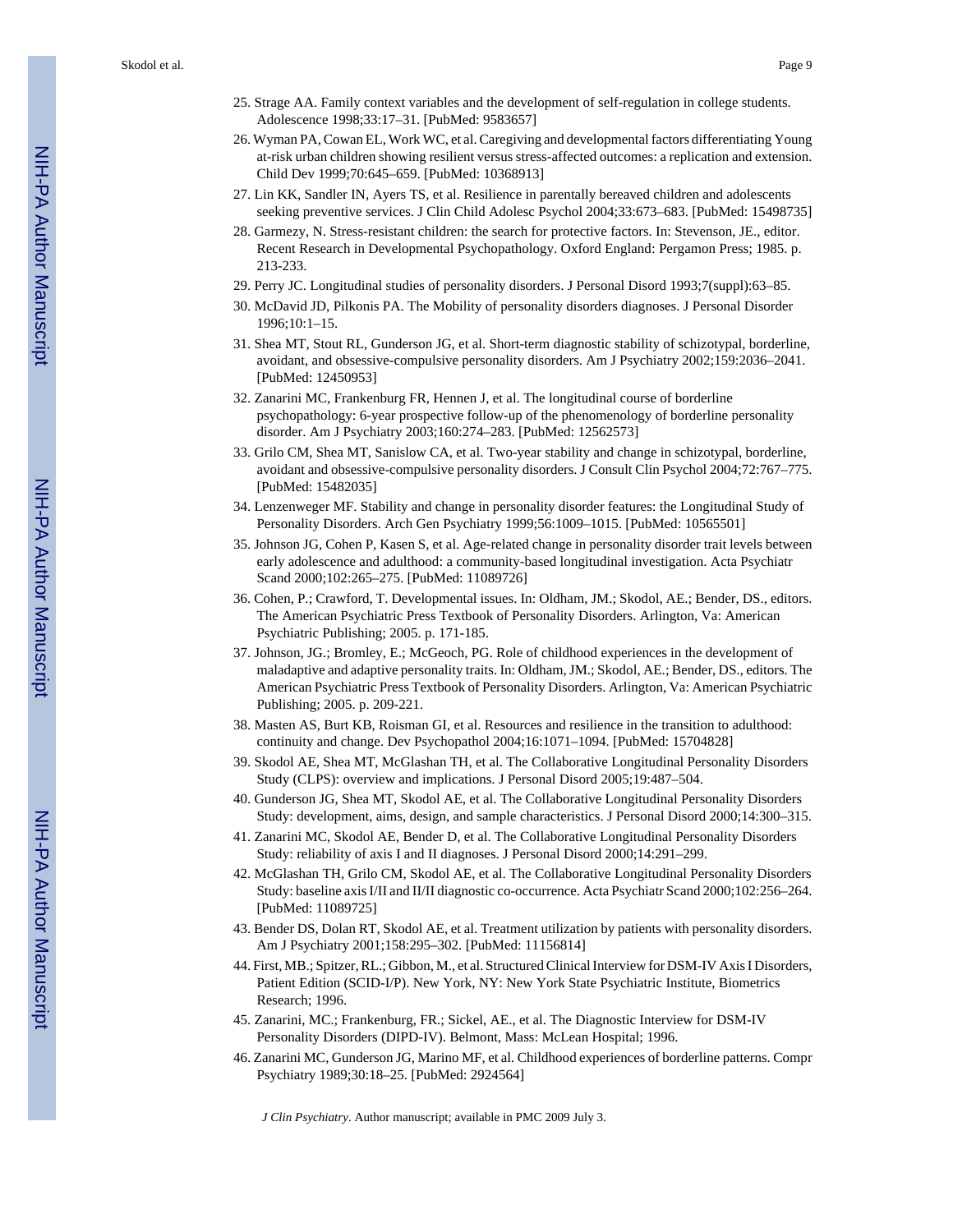- 25. Strage AA. Family context variables and the development of self-regulation in college students. Adolescence 1998;33:17–31. [PubMed: 9583657]
- 26. Wyman PA, Cowan EL, Work WC, et al. Caregiving and developmental factors differentiating Young at-risk urban children showing resilient versus stress-affected outcomes: a replication and extension. Child Dev 1999;70:645–659. [PubMed: 10368913]
- 27. Lin KK, Sandler IN, Ayers TS, et al. Resilience in parentally bereaved children and adolescents seeking preventive services. J Clin Child Adolesc Psychol 2004;33:673–683. [PubMed: 15498735]
- 28. Garmezy, N. Stress-resistant children: the search for protective factors. In: Stevenson, JE., editor. Recent Research in Developmental Psychopathology. Oxford England: Pergamon Press; 1985. p. 213-233.
- 29. Perry JC. Longitudinal studies of personality disorders. J Personal Disord 1993;7(suppl):63–85.
- 30. McDavid JD, Pilkonis PA. The Mobility of personality disorders diagnoses. J Personal Disorder 1996;10:1–15.
- 31. Shea MT, Stout RL, Gunderson JG, et al. Short-term diagnostic stability of schizotypal, borderline, avoidant, and obsessive-compulsive personality disorders. Am J Psychiatry 2002;159:2036–2041. [PubMed: 12450953]
- 32. Zanarini MC, Frankenburg FR, Hennen J, et al. The longitudinal course of borderline psychopathology: 6-year prospective follow-up of the phenomenology of borderline personality disorder. Am J Psychiatry 2003;160:274–283. [PubMed: 12562573]
- 33. Grilo CM, Shea MT, Sanislow CA, et al. Two-year stability and change in schizotypal, borderline, avoidant and obsessive-compulsive personality disorders. J Consult Clin Psychol 2004;72:767–775. [PubMed: 15482035]
- 34. Lenzenweger MF. Stability and change in personality disorder features: the Longitudinal Study of Personality Disorders. Arch Gen Psychiatry 1999;56:1009–1015. [PubMed: 10565501]
- 35. Johnson JG, Cohen P, Kasen S, et al. Age-related change in personality disorder trait levels between early adolescence and adulthood: a community-based longitudinal investigation. Acta Psychiatr Scand 2000;102:265–275. [PubMed: 11089726]
- 36. Cohen, P.; Crawford, T. Developmental issues. In: Oldham, JM.; Skodol, AE.; Bender, DS., editors. The American Psychiatric Press Textbook of Personality Disorders. Arlington, Va: American Psychiatric Publishing; 2005. p. 171-185.
- 37. Johnson, JG.; Bromley, E.; McGeoch, PG. Role of childhood experiences in the development of maladaptive and adaptive personality traits. In: Oldham, JM.; Skodol, AE.; Bender, DS., editors. The American Psychiatric Press Textbook of Personality Disorders. Arlington, Va: American Psychiatric Publishing; 2005. p. 209-221.
- 38. Masten AS, Burt KB, Roisman GI, et al. Resources and resilience in the transition to adulthood: continuity and change. Dev Psychopathol 2004;16:1071–1094. [PubMed: 15704828]
- 39. Skodol AE, Shea MT, McGlashan TH, et al. The Collaborative Longitudinal Personality Disorders Study (CLPS): overview and implications. J Personal Disord 2005;19:487–504.
- 40. Gunderson JG, Shea MT, Skodol AE, et al. The Collaborative Longitudinal Personality Disorders Study: development, aims, design, and sample characteristics. J Personal Disord 2000;14:300–315.
- 41. Zanarini MC, Skodol AE, Bender D, et al. The Collaborative Longitudinal Personality Disorders Study: reliability of axis I and II diagnoses. J Personal Disord 2000;14:291–299.
- 42. McGlashan TH, Grilo CM, Skodol AE, et al. The Collaborative Longitudinal Personality Disorders Study: baseline axis I/II and II/II diagnostic co-occurrence. Acta Psychiatr Scand 2000;102:256–264. [PubMed: 11089725]
- 43. Bender DS, Dolan RT, Skodol AE, et al. Treatment utilization by patients with personality disorders. Am J Psychiatry 2001;158:295–302. [PubMed: 11156814]
- 44. First, MB.; Spitzer, RL.; Gibbon, M., et al. Structured Clinical Interview for DSM-IV Axis I Disorders, Patient Edition (SCID-I/P). New York, NY: New York State Psychiatric Institute, Biometrics Research; 1996.
- 45. Zanarini, MC.; Frankenburg, FR.; Sickel, AE., et al. The Diagnostic Interview for DSM-IV Personality Disorders (DIPD-IV). Belmont, Mass: McLean Hospital; 1996.
- 46. Zanarini MC, Gunderson JG, Marino MF, et al. Childhood experiences of borderline patterns. Compr Psychiatry 1989;30:18–25. [PubMed: 2924564]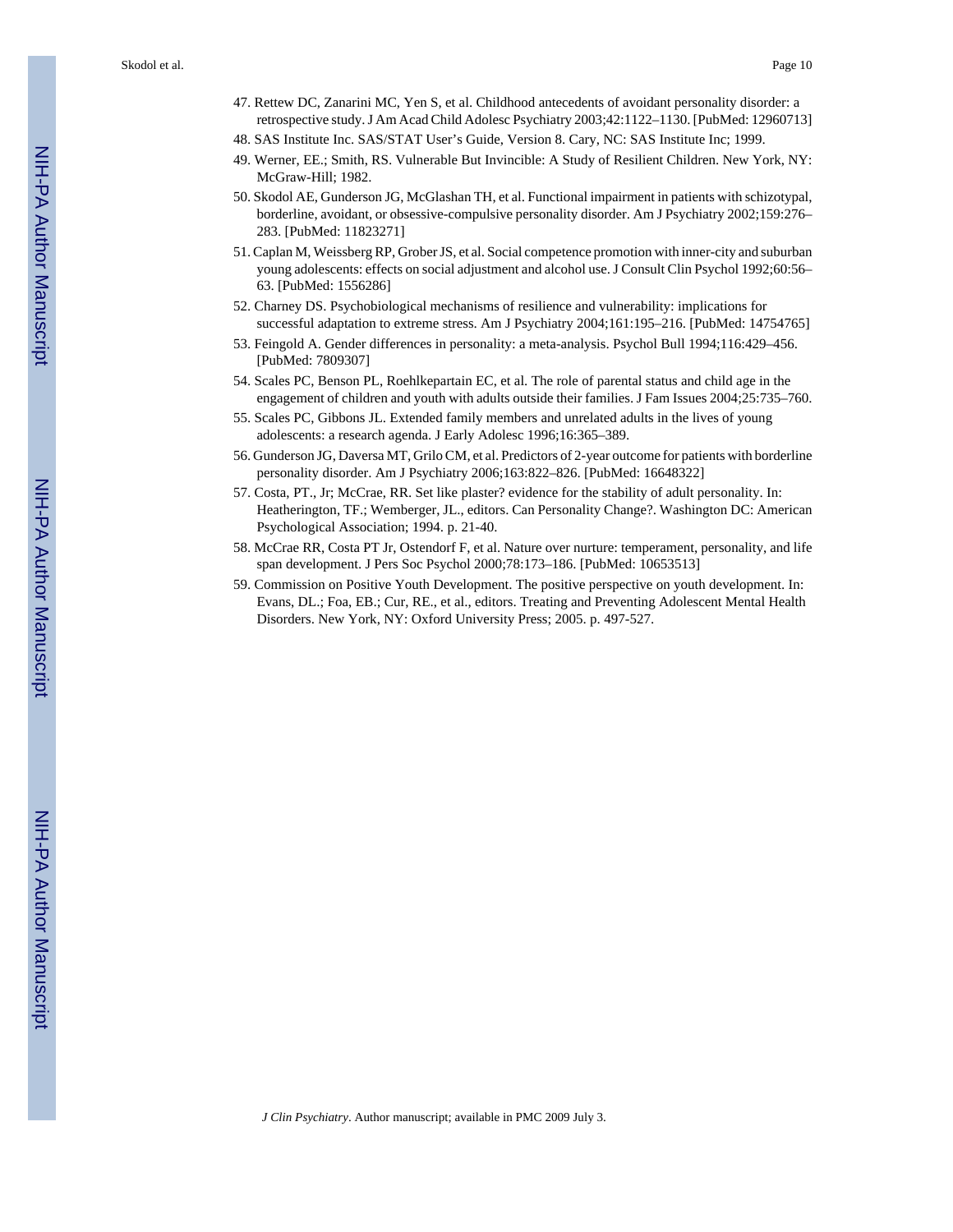Skodol et al. Page 10

- 47. Rettew DC, Zanarini MC, Yen S, et al. Childhood antecedents of avoidant personality disorder: a retrospective study. J Am Acad Child Adolesc Psychiatry 2003;42:1122–1130. [PubMed: 12960713]
- 48. SAS Institute Inc. SAS/STAT User's Guide, Version 8. Cary, NC: SAS Institute Inc; 1999.
- 49. Werner, EE.; Smith, RS. Vulnerable But Invincible: A Study of Resilient Children. New York, NY: McGraw-Hill; 1982.
- 50. Skodol AE, Gunderson JG, McGlashan TH, et al. Functional impairment in patients with schizotypal, borderline, avoidant, or obsessive-compulsive personality disorder. Am J Psychiatry 2002;159:276– 283. [PubMed: 11823271]
- 51. Caplan M, Weissberg RP, Grober JS, et al. Social competence promotion with inner-city and suburban young adolescents: effects on social adjustment and alcohol use. J Consult Clin Psychol 1992;60:56– 63. [PubMed: 1556286]
- 52. Charney DS. Psychobiological mechanisms of resilience and vulnerability: implications for successful adaptation to extreme stress. Am J Psychiatry 2004;161:195–216. [PubMed: 14754765]
- 53. Feingold A. Gender differences in personality: a meta-analysis. Psychol Bull 1994;116:429–456. [PubMed: 7809307]
- 54. Scales PC, Benson PL, Roehlkepartain EC, et al. The role of parental status and child age in the engagement of children and youth with adults outside their families. J Fam Issues 2004;25:735–760.
- 55. Scales PC, Gibbons JL. Extended family members and unrelated adults in the lives of young adolescents: a research agenda. J Early Adolesc 1996;16:365–389.
- 56. Gunderson JG, Daversa MT, Grilo CM, et al. Predictors of 2-year outcome for patients with borderline personality disorder. Am J Psychiatry 2006;163:822–826. [PubMed: 16648322]
- 57. Costa, PT., Jr; McCrae, RR. Set like plaster? evidence for the stability of adult personality. In: Heatherington, TF.; Wemberger, JL., editors. Can Personality Change?. Washington DC: American Psychological Association; 1994. p. 21-40.
- 58. McCrae RR, Costa PT Jr, Ostendorf F, et al. Nature over nurture: temperament, personality, and life span development. J Pers Soc Psychol 2000;78:173–186. [PubMed: 10653513]
- 59. Commission on Positive Youth Development. The positive perspective on youth development. In: Evans, DL.; Foa, EB.; Cur, RE., et al., editors. Treating and Preventing Adolescent Mental Health Disorders. New York, NY: Oxford University Press; 2005. p. 497-527.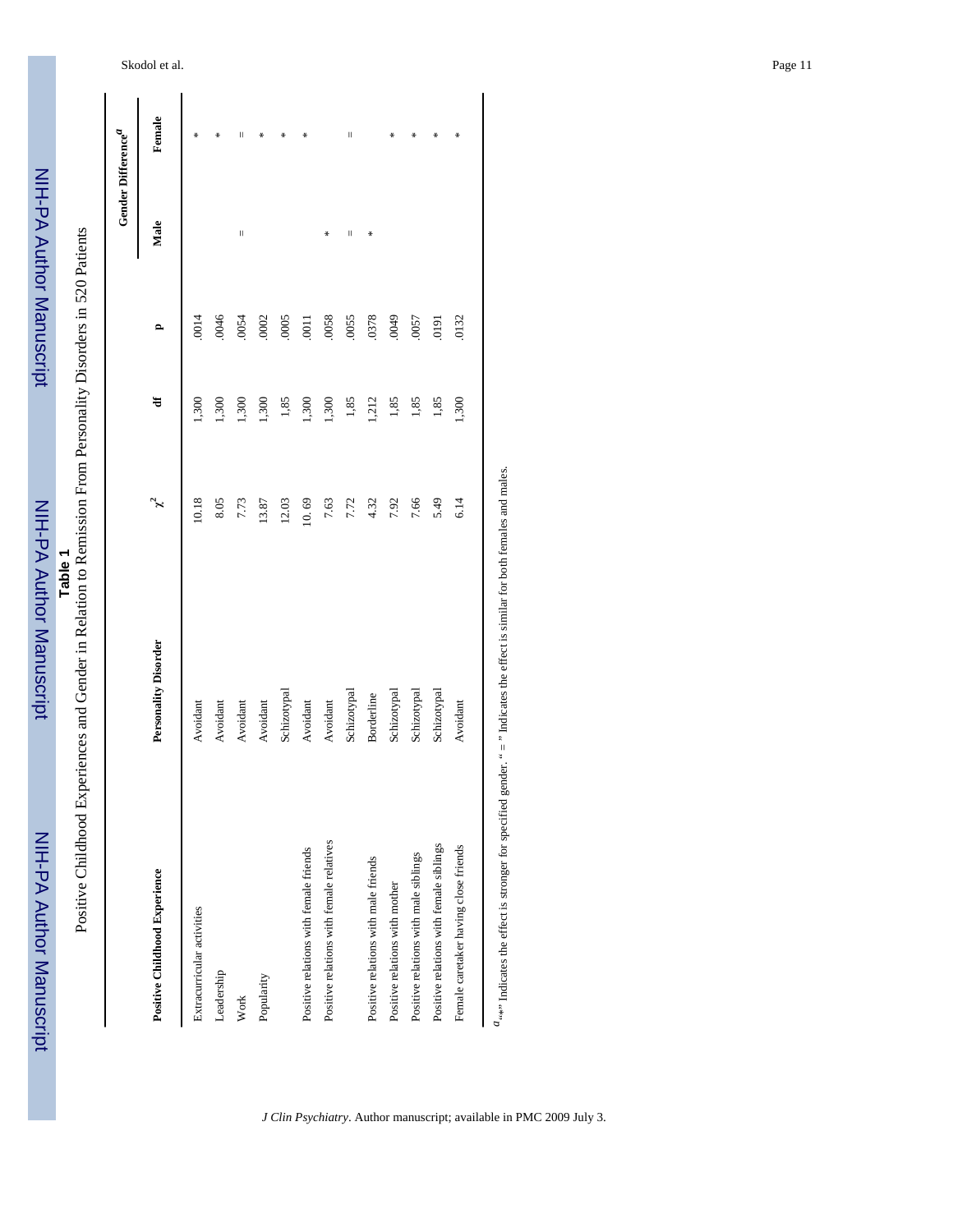NIH-PA Author Manuscript NIH-PA Author Manuscript

 NIH-PA Author ManuscriptNIH-PA Author Manuscript Table 1<br>Positive Childhood Experiences and Gender in Relation to Remission From Personality Disorders in 520 Patients Positive Childhood Experiences and Gender in Relation to Remission From Personality Disorders in 520 Patients

|                                                                                                                                   |                             |       |       |                | Gender Difference <sup>a</sup> |         |
|-----------------------------------------------------------------------------------------------------------------------------------|-----------------------------|-------|-------|----------------|--------------------------------|---------|
| Positive Childhood Experience                                                                                                     | <b>Personality Disorder</b> | ž     | ਚ     | $\mathbf{r}$   | Male                           | Female  |
| Extracurricular activities                                                                                                        | Avoidant                    | 10.18 | 1,300 | .0014          |                                | ₩       |
| Leadership                                                                                                                        | Avoidant                    | 8.05  | 1,300 | 0046           |                                | ∗       |
| Work                                                                                                                              | Avoidant                    | 7.73  | 1,300 | .0054          | $\vert$                        | П       |
| Popularity                                                                                                                        | Avoidant                    | 13.87 | 1,300 | .0002          |                                | ₩       |
|                                                                                                                                   | Schizotypal                 | 12.03 | 1,85  | .0005          |                                | ∗       |
| Positive relations with female friends                                                                                            | Avoidant                    | 10.69 | 1,300 | $\overline{5}$ |                                | ₩       |
| Positive relations with female relatives                                                                                          | Avoidant                    | 7.63  | 1,300 | .0058          | ₩                              |         |
|                                                                                                                                   | Schizotypal                 | 7.72  | 1,85  | .0055          | $\mid \mid$                    | $\vert$ |
| Positive relations with male friends                                                                                              | Borderline                  | 4.32  | 1,212 | .0378          | ₩                              |         |
| Positive relations with mother                                                                                                    | Schizotypal                 | 7.92  | 1,85  | 6700           |                                | ₩       |
| Positive relations with male siblings                                                                                             | Schizotypal                 | 7.66  | 1,85  | .0057          |                                | ∗       |
| Positive relations with female siblings                                                                                           | Schizotypal                 | 5.49  | 1,85  | 191            |                                | ∗       |
| Female caretaker having close friends                                                                                             | Avoidant                    | 6.14  | 1,300 | .0132          |                                | ₩       |
| $a_{i*}$ indicates the effect is stronger for specified gender. " = " Indicates the effect is similar for both females and males. |                             |       |       |                |                                |         |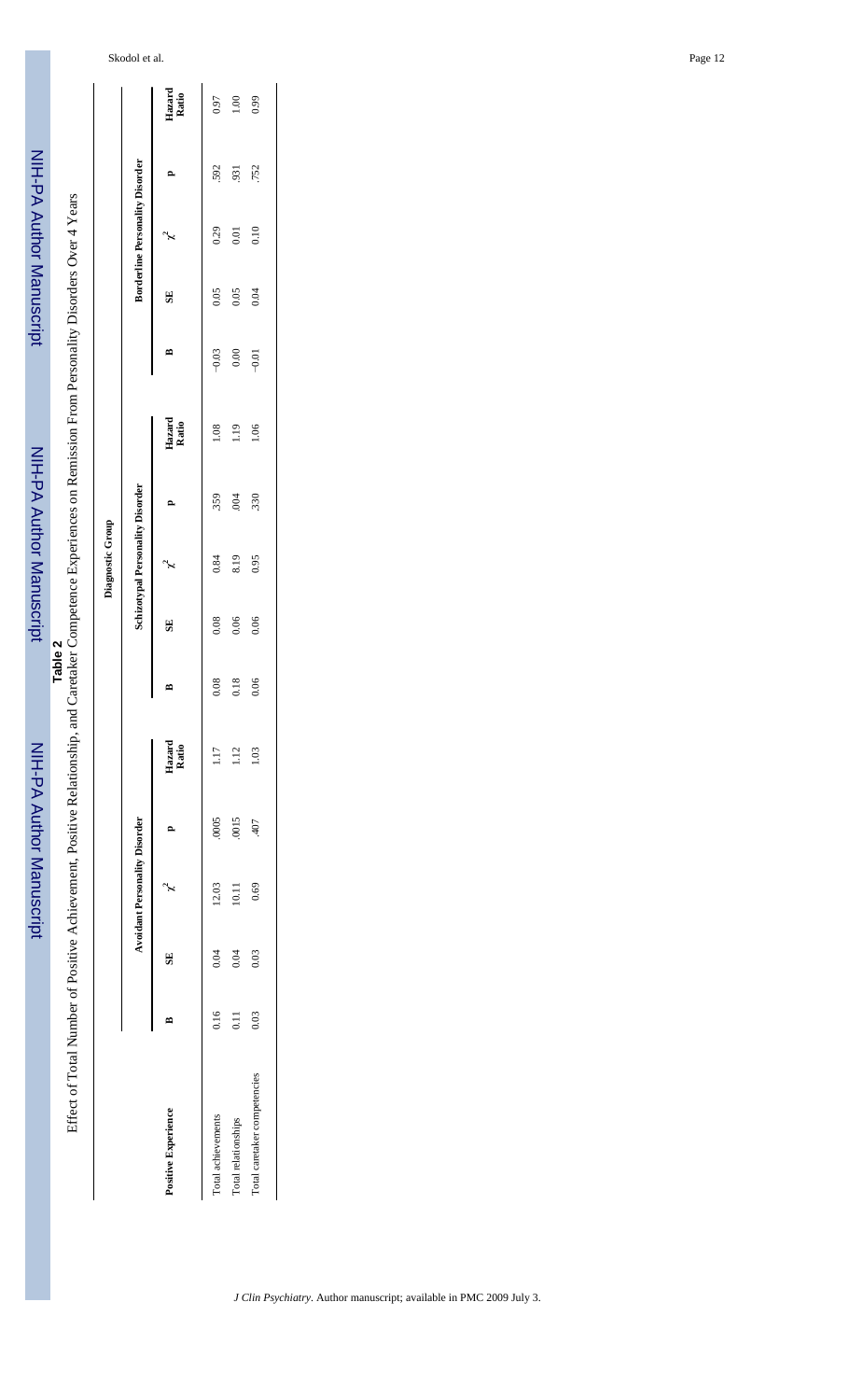| .<br>.<br>.<br>.   |
|--------------------|
|                    |
|                    |
|                    |
|                    |
|                    |
|                    |
|                    |
|                    |
|                    |
|                    |
|                    |
|                    |
|                    |
|                    |
|                    |
|                    |
|                    |
|                    |
| <u>ומו ומחזה ו</u> |
|                    |
|                    |

NIH-PA Author Manuscript

 $\ddot{\phantom{a}}$ 

Table 2<br>Effect of Total Number of Positive Achievement, Positive Relationship, and Caretaker Competence Experiences on Remission From Personality Disorders Over 4 Years Effect of Total Number of Positive Achievement, Positive Relationship, and Caretaker Competence Experiences on Remission From Personality Disorders Over 4 Years

|                              |      |      |                               |       |                 |      |                         | Diagnostic Group                 |      |                 |         |      |                                        |     |                 |
|------------------------------|------|------|-------------------------------|-------|-----------------|------|-------------------------|----------------------------------|------|-----------------|---------|------|----------------------------------------|-----|-----------------|
|                              |      |      | Avoidant Personality Disorder |       |                 |      |                         | Schizotypal Personality Disorder |      |                 |         |      | <b>Borderline Personality Disorder</b> |     |                 |
| Positive Experience          |      | 5    |                               |       | Hazard<br>Ratio |      | $\overline{\mathbf{S}}$ |                                  |      | Hazard<br>Ratio | ≏       | SE   | Ļ                                      |     | Hazard<br>Ratio |
| Total achievements           | 0.16 | 0.04 | 12.03                         | .0005 | 1.17            | 0.08 | 0.08                    | 0.84                             | .359 | 1.08            | $-0.03$ | 0.05 | 0.29                                   | 592 | 0.97            |
| Total relationships          | 0.11 | 0.04 | 10.11                         | .0015 | 112             | 0.18 | 0.06                    | 8.19                             | 004  | 1.19            | 0.00    | 0.05 | 0.01                                   | 931 | 1.00            |
| Total caretaker competencies | 0.03 | 0.03 | 0.69                          | 407   | 1.03            | 0.06 | 0.06                    | 0.95                             | .330 | 1.06            | $-0.01$ | 0.04 | 0.10                                   | 752 | 0.99            |
|                              |      |      |                               |       |                 |      |                         |                                  |      |                 |         |      |                                        |     |                 |